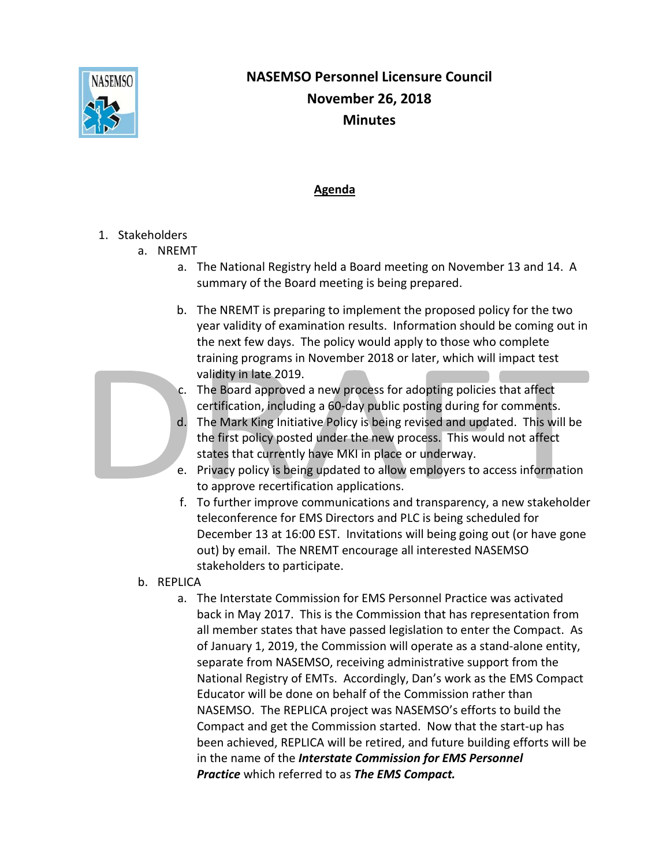

## **NASEMSO Personnel Licensure Council November 26, 2018 Minutes**

## **Agenda**

## 1. Stakeholders

- a. NREMT
	- a. The National Registry held a Board meeting on November 13 and 14. A summary of the Board meeting is being prepared.
	- b. The NREMT is preparing to implement the proposed policy for the two year validity of examination results. Information should be coming out in the next few days. The policy would apply to those who complete training programs in November 2018 or later, which will impact test validity in late 2019.



- c. The Board approved a new process for adopting policies that affect certification, including a 60-day public posting during for comments.
- d. The Mark King Initiative Policy is being revised and updated. This will be the first policy posted under the new process. This would not affect states that currently have MKI in place or underway.
- e. Privacy policy is being updated to allow employers to access information to approve recertification applications.
- f. To further improve communications and transparency, a new stakeholder teleconference for EMS Directors and PLC is being scheduled for December 13 at 16:00 EST. Invitations will being going out (or have gone out) by email. The NREMT encourage all interested NASEMSO stakeholders to participate.
- b. REPLICA
	- a. The Interstate Commission for EMS Personnel Practice was activated back in May 2017. This is the Commission that has representation from all member states that have passed legislation to enter the Compact. As of January 1, 2019, the Commission will operate as a stand-alone entity, separate from NASEMSO, receiving administrative support from the National Registry of EMTs. Accordingly, Dan's work as the EMS Compact Educator will be done on behalf of the Commission rather than NASEMSO. The REPLICA project was NASEMSO's efforts to build the Compact and get the Commission started. Now that the start-up has been achieved, REPLICA will be retired, and future building efforts will be in the name of the *Interstate Commission for EMS Personnel Practice* which referred to as *The EMS Compact.*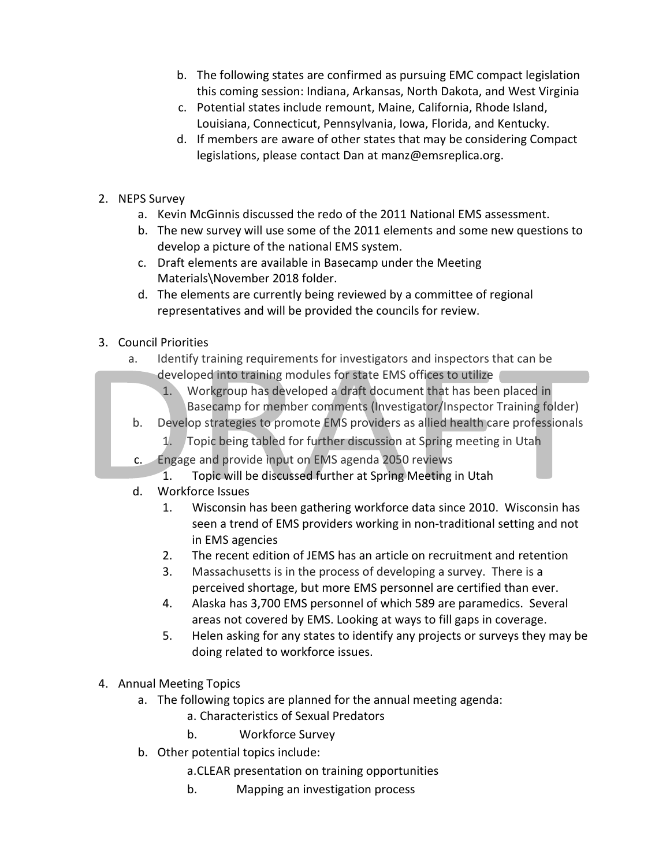- b. The following states are confirmed as pursuing EMC compact legislation this coming session: Indiana, Arkansas, North Dakota, and West Virginia
- c. Potential states include remount, Maine, California, Rhode Island, Louisiana, Connecticut, Pennsylvania, Iowa, Florida, and Kentucky.
- d. If members are aware of other states that may be considering Compact legislations, please contact Dan at manz@emsreplica.org.
- 2. NEPS Survey
	- a. Kevin McGinnis discussed the redo of the 2011 National EMS assessment.
	- b. The new survey will use some of the 2011 elements and some new questions to develop a picture of the national EMS system.
	- c. Draft elements are available in Basecamp under the Meeting Materials\November 2018 folder.
	- d. The elements are currently being reviewed by a committee of regional representatives and will be provided the councils for review.
- 3. Council Priorities
	- a. Identify training requirements for investigators and inspectors that can be developed into training modules for state EMS offices to utilize
		- 1. Workgroup has developed a draft document that has been placed in Basecamp for member comments (Investigator/Inspector Training folder)
	- b. Develop strategies to promote EMS providers as allied health care professionals
		- 1. Topic being tabled for further discussion at Spring meeting in Utah
	- c. Engage and provide input on EMS agenda 2050 reviews
		- 1. Topic will be discussed further at Spring Meeting in Utah
	- d. Workforce Issues
		- 1. Wisconsin has been gathering workforce data since 2010. Wisconsin has seen a trend of EMS providers working in non-traditional setting and not in EMS agencies
		- 2. The recent edition of JEMS has an article on recruitment and retention
		- 3. Massachusetts is in the process of developing a survey. There is a perceived shortage, but more EMS personnel are certified than ever.
		- 4. Alaska has 3,700 EMS personnel of which 589 are paramedics. Several areas not covered by EMS. Looking at ways to fill gaps in coverage.
		- 5. Helen asking for any states to identify any projects or surveys they may be doing related to workforce issues.
- 4. Annual Meeting Topics
	- a. The following topics are planned for the annual meeting agenda:
		- a. Characteristics of Sexual Predators
		- b. Workforce Survey
	- b. Other potential topics include:
		- a.CLEAR presentation on training opportunities
		- b. Mapping an investigation process